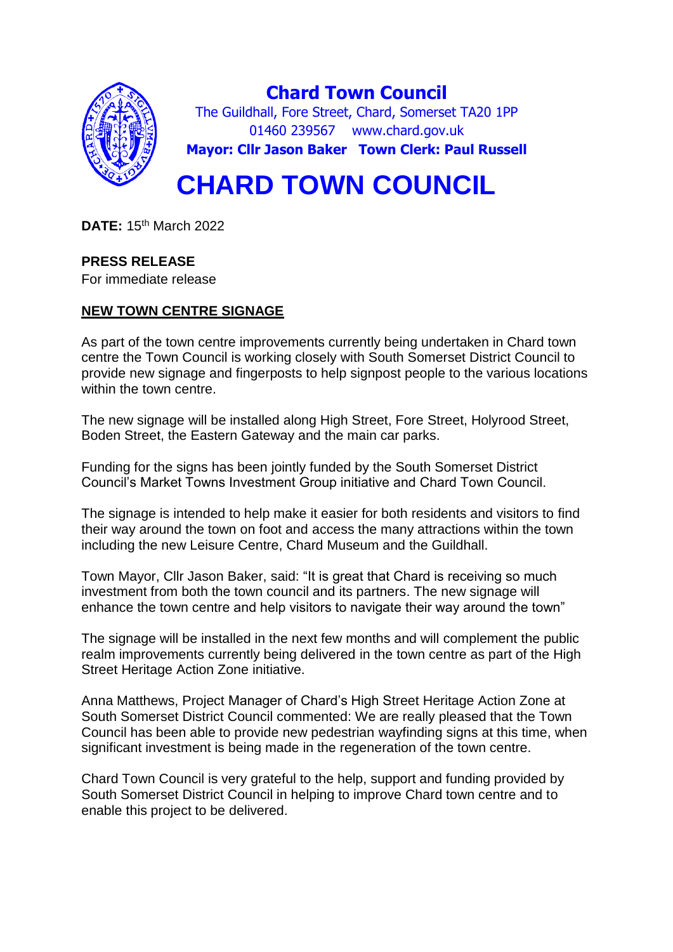

**Chard Town Council** The Guildhall, Fore Street, Chard, Somerset TA20 1PP 01460 239567 www.chard.gov.uk **Mayor: Cllr Jason Baker Town Clerk: Paul Russell**

# **CHARD TOWN COUNCIL**

**DATE:** 15th March 2022

# **PRESS RELEASE**

For immediate release

# **NEW TOWN CENTRE SIGNAGE**

As part of the town centre improvements currently being undertaken in Chard town centre the Town Council is working closely with South Somerset District Council to provide new signage and fingerposts to help signpost people to the various locations within the town centre.

The new signage will be installed along High Street, Fore Street, Holyrood Street, Boden Street, the Eastern Gateway and the main car parks.

Funding for the signs has been jointly funded by the South Somerset District Council's Market Towns Investment Group initiative and Chard Town Council.

The signage is intended to help make it easier for both residents and visitors to find their way around the town on foot and access the many attractions within the town including the new Leisure Centre, Chard Museum and the Guildhall.

Town Mayor, Cllr Jason Baker, said: "It is great that Chard is receiving so much investment from both the town council and its partners. The new signage will enhance the town centre and help visitors to navigate their way around the town"

The signage will be installed in the next few months and will complement the public realm improvements currently being delivered in the town centre as part of the High Street Heritage Action Zone initiative.

Anna Matthews, Project Manager of Chard's High Street Heritage Action Zone at South Somerset District Council commented: We are really pleased that the Town Council has been able to provide new pedestrian wayfinding signs at this time, when significant investment is being made in the regeneration of the town centre.

Chard Town Council is very grateful to the help, support and funding provided by South Somerset District Council in helping to improve Chard town centre and to enable this project to be delivered.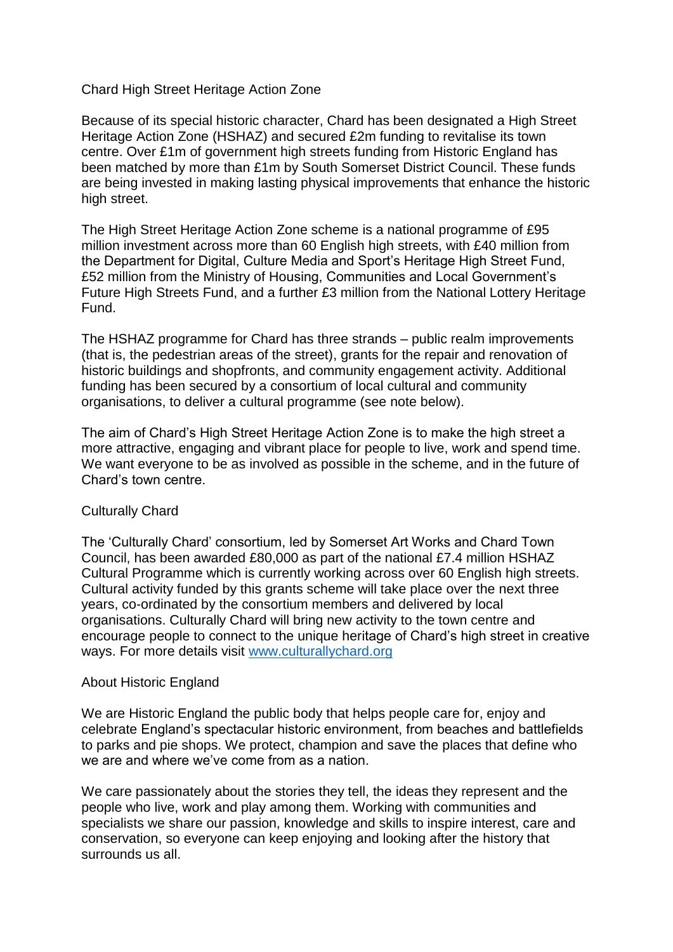#### Chard High Street Heritage Action Zone

Because of its special historic character, Chard has been designated a High Street Heritage Action Zone (HSHAZ) and secured £2m funding to revitalise its town centre. Over £1m of government high streets funding from Historic England has been matched by more than £1m by South Somerset District Council. These funds are being invested in making lasting physical improvements that enhance the historic high street.

The High Street Heritage Action Zone scheme is a national programme of £95 million investment across more than 60 English high streets, with £40 million from the Department for Digital, Culture Media and Sport's Heritage High Street Fund, £52 million from the Ministry of Housing, Communities and Local Government's Future High Streets Fund, and a further £3 million from the National Lottery Heritage Fund.

The HSHAZ programme for Chard has three strands – public realm improvements (that is, the pedestrian areas of the street), grants for the repair and renovation of historic buildings and shopfronts, and community engagement activity. Additional funding has been secured by a consortium of local cultural and community organisations, to deliver a cultural programme (see note below).

The aim of Chard's High Street Heritage Action Zone is to make the high street a more attractive, engaging and vibrant place for people to live, work and spend time. We want everyone to be as involved as possible in the scheme, and in the future of Chard's town centre.

#### Culturally Chard

The 'Culturally Chard' consortium, led by Somerset Art Works and Chard Town Council, has been awarded £80,000 as part of the national £7.4 million HSHAZ Cultural Programme which is currently working across over 60 English high streets. Cultural activity funded by this grants scheme will take place over the next three years, co-ordinated by the consortium members and delivered by local organisations. Culturally Chard will bring new activity to the town centre and encourage people to connect to the unique heritage of Chard's high street in creative ways. For more details visit [www.culturallychard.org](http://www.culturallychard.org/)

#### About Historic England

We are Historic England the public body that helps people care for, enjoy and celebrate England's spectacular historic environment, from beaches and battlefields to parks and pie shops. We protect, champion and save the places that define who we are and where we've come from as a nation.

We care passionately about the stories they tell, the ideas they represent and the people who live, work and play among them. Working with communities and specialists we share our passion, knowledge and skills to inspire interest, care and conservation, so everyone can keep enjoying and looking after the history that surrounds us all.